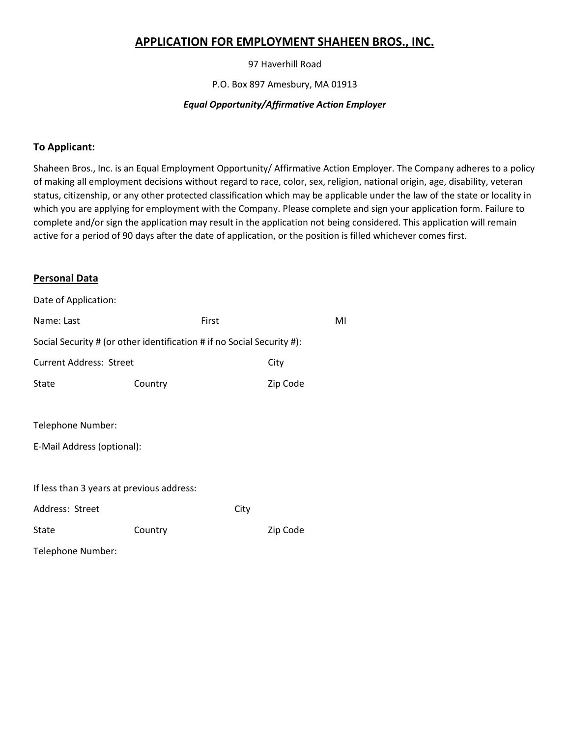# **APPLICATION FOR EMPLOYMENT SHAHEEN BROS., INC.**

97 Haverhill Road

P.O. Box 897 Amesbury, MA 01913

### *Equal Opportunity/Affirmative Action Employer*

### **To Applicant:**

Shaheen Bros., Inc. is an Equal Employment Opportunity/ Affirmative Action Employer. The Company adheres to a policy of making all employment decisions without regard to race, color, sex, religion, national origin, age, disability, veteran status, citizenship, or any other protected classification which may be applicable under the law of the state or locality in which you are applying for employment with the Company. Please complete and sign your application form. Failure to complete and/or sign the application may result in the application not being considered. This application will remain active for a period of 90 days after the date of application, or the position is filled whichever comes first.

### **Personal Data**

| Date of Application:                                                   |         |       |          |    |  |
|------------------------------------------------------------------------|---------|-------|----------|----|--|
| Name: Last                                                             |         | First |          | MI |  |
| Social Security # (or other identification # if no Social Security #): |         |       |          |    |  |
| <b>Current Address: Street</b>                                         |         | City  |          |    |  |
| State                                                                  | Country |       | Zip Code |    |  |
|                                                                        |         |       |          |    |  |
| Telephone Number:                                                      |         |       |          |    |  |
| E-Mail Address (optional):                                             |         |       |          |    |  |
|                                                                        |         |       |          |    |  |
| If less than 3 years at previous address:                              |         |       |          |    |  |
| Address: Street                                                        |         | City  |          |    |  |
| State                                                                  | Country |       | Zip Code |    |  |
| Telephone Number:                                                      |         |       |          |    |  |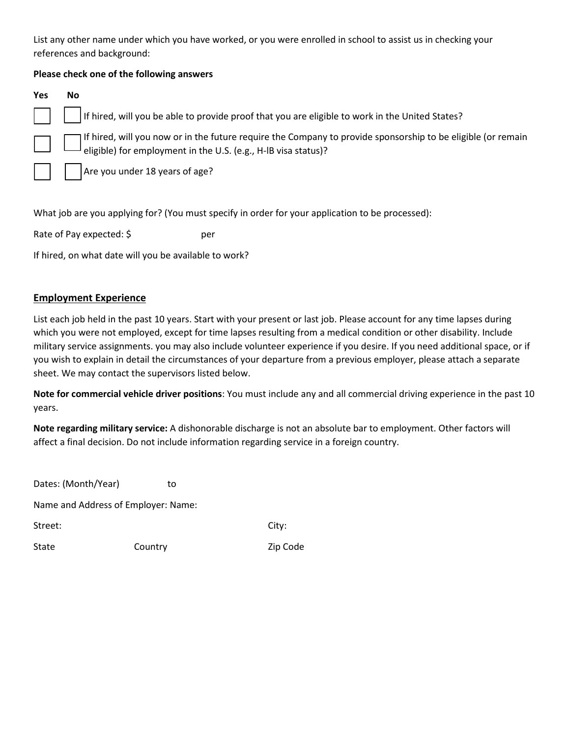List any other name under which you have worked, or you were enrolled in school to assist us in checking your references and background:

### **Please check one of the following answers**

| Yes          | <b>No</b>                                                                                                                                                                   |
|--------------|-----------------------------------------------------------------------------------------------------------------------------------------------------------------------------|
| $\mathbf{1}$ | If hired, will you be able to provide proof that you are eligible to work in the United States?                                                                             |
|              | If hired, will you now or in the future require the Company to provide sponsorship to be eligible (or remain eligible) for employment in the U.S. (e.g., H-IB visa status)? |
|              | $\begin{array}{ c c c c c } \hline \end{array}$       Are you under 18 years of age?                                                                                        |

What job are you applying for? (You must specify in order for your application to be processed):

Rate of Pay expected: \$ per

If hired, on what date will you be available to work?

## **Employment Experience**

List each job held in the past 10 years. Start with your present or last job. Please account for any time lapses during which you were not employed, except for time lapses resulting from a medical condition or other disability. Include military service assignments. you may also include volunteer experience if you desire. If you need additional space, or if you wish to explain in detail the circumstances of your departure from a previous employer, please attach a separate sheet. We may contact the supervisors listed below.

**Note for commercial vehicle driver positions**: You must include any and all commercial driving experience in the past 10 years.

Zip Code

**Note regarding military service:** A dishonorable discharge is not an absolute bar to employment. Other factors will affect a final decision. Do not include information regarding service in a foreign country.

| Dates: (Month/Year) | to                                  |       |
|---------------------|-------------------------------------|-------|
|                     | Name and Address of Employer: Name: |       |
| Street:             |                                     | City: |
| State               | Country                             | Zip C |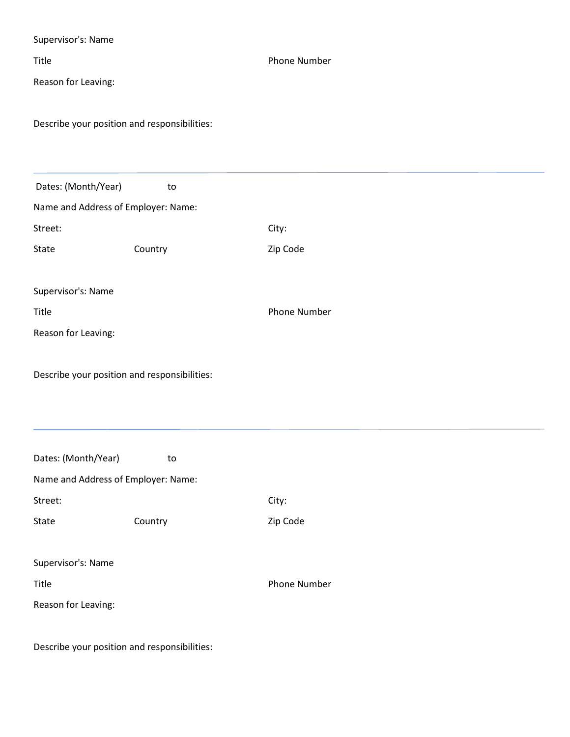| Supervisor's: Name                           |         |                     |
|----------------------------------------------|---------|---------------------|
| Title                                        |         | <b>Phone Number</b> |
| Reason for Leaving:                          |         |                     |
|                                              |         |                     |
| Describe your position and responsibilities: |         |                     |
|                                              |         |                     |
|                                              |         |                     |
| Dates: (Month/Year)                          | to      |                     |
| Name and Address of Employer: Name:          |         |                     |
| Street:                                      |         | City:               |
| State                                        | Country | Zip Code            |
|                                              |         |                     |
| Supervisor's: Name                           |         |                     |
| Title                                        |         | Phone Number        |
| Reason for Leaving:                          |         |                     |
|                                              |         |                     |
| Describe your position and responsibilities: |         |                     |
|                                              |         |                     |
|                                              |         |                     |
|                                              |         |                     |
| Dates: (Month/Year)                          | to      |                     |
| Name and Address of Employer: Name:          |         |                     |
| Street:                                      |         | City:               |
| State                                        | Country | Zip Code            |
|                                              |         |                     |
| Supervisor's: Name                           |         |                     |
| Title                                        |         | Phone Number        |
| Reason for Leaving:                          |         |                     |
|                                              |         |                     |

Describe your position and responsibilities: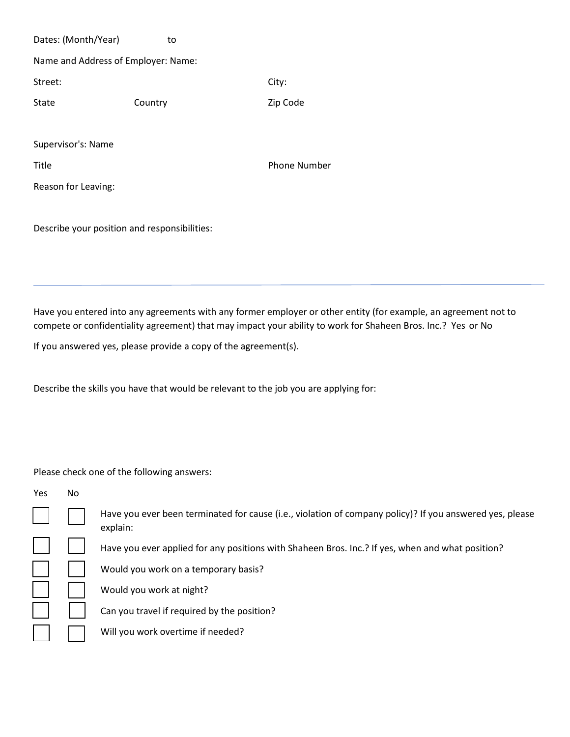Dates: (Month/Year) to Name and Address of Employer: Name: Street: City: State Country Country Zip Code Supervisor's: Name Title **The Phone Number** Phone Number Reason for Leaving:

Describe your position and responsibilities:

Have you entered into any agreements with any former employer or other entity (for example, an agreement not to compete or confidentiality agreement) that may impact your ability to work for Shaheen Bros. Inc.? Yes or No

If you answered yes, please provide a copy of the agreement(s).

Describe the skills you have that would be relevant to the job you are applying for:

Please check one of the following answers:

Yes No

Have you ever been terminated for cause (i.e., violation of company policy)? If you answered yes, please explain:

Have you ever applied for any positions with Shaheen Bros. Inc.? If yes, when and what position?

Would you work on a temporary basis?

Would you work at night?

Can you travel if required by the position?

Will you work overtime if needed?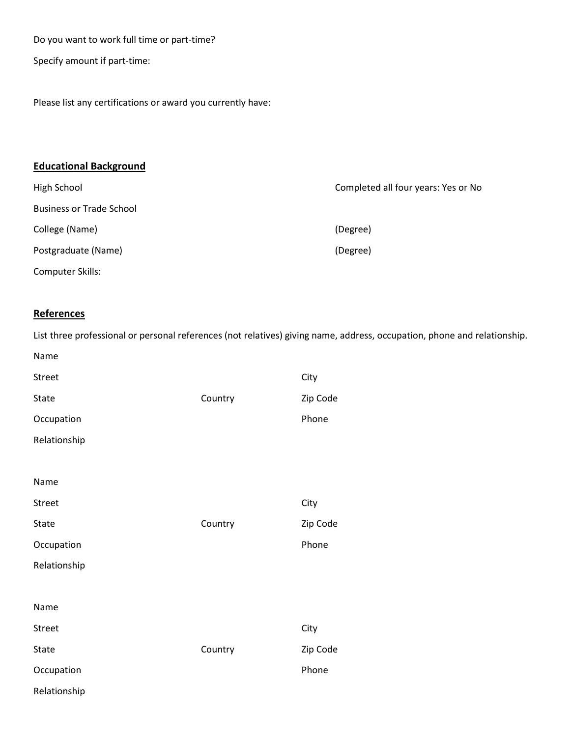Do you want to work full time or part-time?

Specify amount if part-time:

Please list any certifications or award you currently have:

# **Educational Background**

| High School                     | Completed all four years: Yes or No |  |
|---------------------------------|-------------------------------------|--|
| <b>Business or Trade School</b> |                                     |  |
| College (Name)                  | (Degree)                            |  |
| Postgraduate (Name)             | (Degree)                            |  |
| Computer Skills:                |                                     |  |

# **References**

Name

List three professional or personal references (not relatives) giving name, address, occupation, phone and relationship.

| <b>Street</b><br><b>State</b><br>Occupation<br>Relationship         | Country | City<br>Zip Code<br>Phone |
|---------------------------------------------------------------------|---------|---------------------------|
| Name<br><b>Street</b><br>State<br>Occupation<br>Relationship        | Country | City<br>Zip Code<br>Phone |
| Name<br><b>Street</b><br><b>State</b><br>Occupation<br>Relationship | Country | City<br>Zip Code<br>Phone |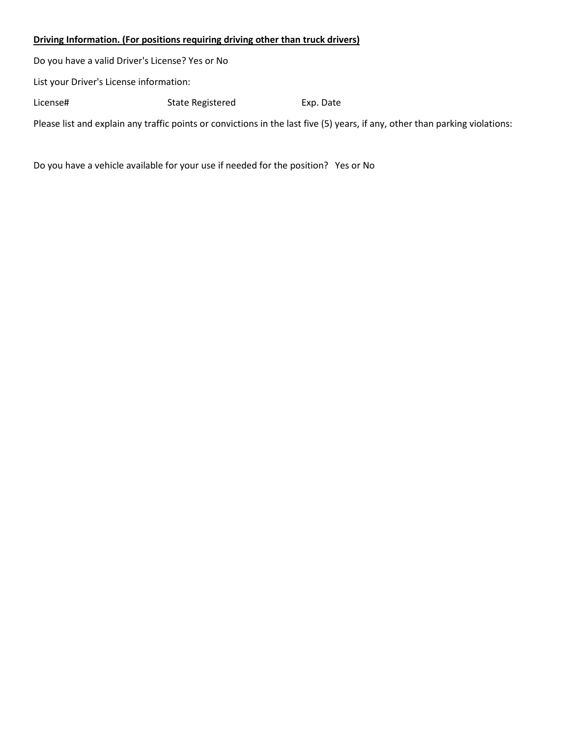### **Driving Information. (For positions requiring driving other than truck drivers)**

Do you have a valid Driver's License? Yes or No List your Driver's License information: License# State Registered Exp. Date Please list and explain any traffic points or convictions in the last five (5) years, if any, other than parking violations:

Do you have a vehicle available for your use if needed for the position? Yes or No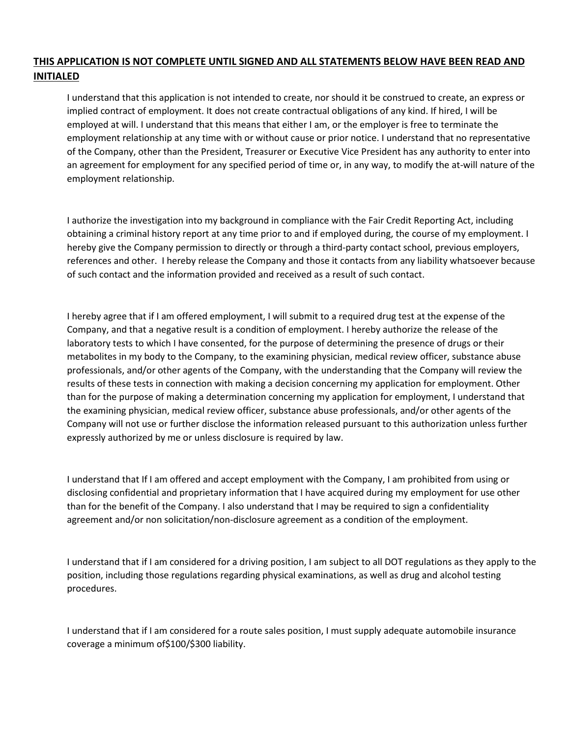## **THIS APPLICATION IS NOT COMPLETE UNTIL SIGNED AND ALL STATEMENTS BELOW HAVE BEEN READ AND INITIALED**

I understand that this application is not intended to create, nor should it be construed to create, an express or implied contract of employment. It does not create contractual obligations of any kind. If hired, I will be employed at will. I understand that this means that either I am, or the employer is free to terminate the employment relationship at any time with or without cause or prior notice. I understand that no representative of the Company, other than the President, Treasurer or Executive Vice President has any authority to enter into an agreement for employment for any specified period of time or, in any way, to modify the at-will nature of the employment relationship.

I authorize the investigation into my background in compliance with the Fair Credit Reporting Act, including obtaining a criminal history report at any time prior to and if employed during, the course of my employment. I hereby give the Company permission to directly or through a third-party contact school, previous employers, references and other. I hereby release the Company and those it contacts from any liability whatsoever because of such contact and the information provided and received as a result of such contact.

I hereby agree that if I am offered employment, I will submit to a required drug test at the expense of the Company, and that a negative result is a condition of employment. I hereby authorize the release of the laboratory tests to which I have consented, for the purpose of determining the presence of drugs or their metabolites in my body to the Company, to the examining physician, medical review officer, substance abuse professionals, and/or other agents of the Company, with the understanding that the Company will review the results of these tests in connection with making a decision concerning my application for employment. Other than for the purpose of making a determination concerning my application for employment, I understand that the examining physician, medical review officer, substance abuse professionals, and/or other agents of the Company will not use or further disclose the information released pursuant to this authorization unless further expressly authorized by me or unless disclosure is required by law.

I understand that If I am offered and accept employment with the Company, I am prohibited from using or disclosing confidential and proprietary information that I have acquired during my employment for use other than for the benefit of the Company. I also understand that I may be required to sign a confidentiality agreement and/or non solicitation/non-disclosure agreement as a condition of the employment.

I understand that if I am considered for a driving position, I am subject to all DOT regulations as they apply to the position, including those regulations regarding physical examinations, as well as drug and alcohol testing procedures.

I understand that if I am considered for a route sales position, I must supply adequate automobile insurance coverage a minimum of\$100/\$300 liability.